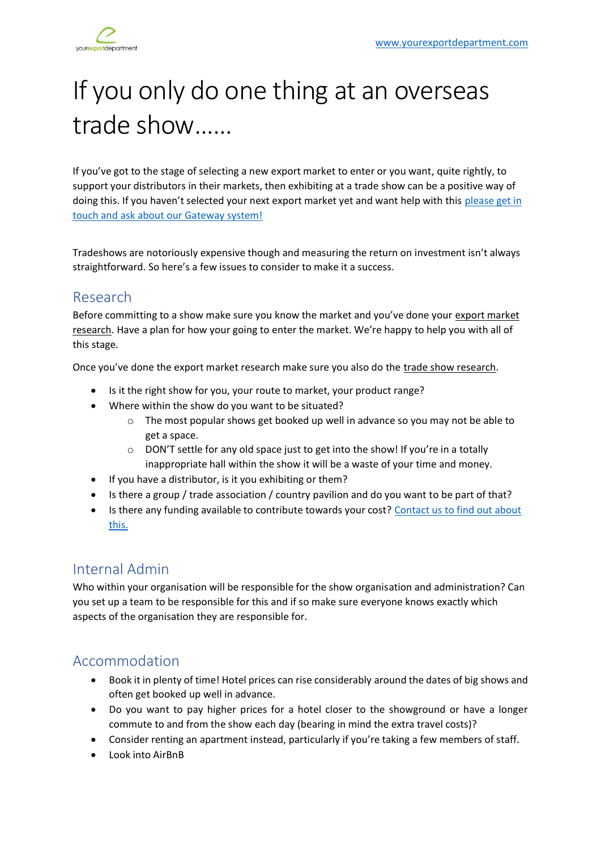

# If you only do one thing at an overseas trade show……

If you've got to the stage of selecting a new export market to enter or you want, quite rightly, to support your distributors in their markets, then exhibiting at a trade show can be a positive way of doing this. If you haven't selected your next export market yet and want help with this please get in [touch and ask about our Gateway system!](http://www.yourexportdepartment.com/)

Tradeshows are notoriously expensive though and measuring the return on investment isn't always straightforward. So here's a few issues to consider to make it a success.

# Research

Before committing to a show make sure you know the market and you've done your export market research. Have a plan for how your going to enter the market. We're happy to help you with all of this stage.

Once you've done the export market research make sure you also do the trade show research.

- Is it the right show for you, your route to market, your product range?
- Where within the show do you want to be situated?
	- $\circ$  The most popular shows get booked up well in advance so you may not be able to get a space.
	- $\circ$  DON'T settle for any old space just to get into the show! If you're in a totally inappropriate hall within the show it will be a waste of your time and money.
- If you have a distributor, is it you exhibiting or them?
- Is there a group / trade association / country pavilion and do you want to be part of that?
- Is there any funding available to contribute towards your cost? Contact us to find out about [this.](http://www.yourexportdepartment.com/)

# Internal Admin

Who within your organisation will be responsible for the show organisation and administration? Can you set up a team to be responsible for this and if so make sure everyone knows exactly which aspects of the organisation they are responsible for.

# Accommodation

- Book it in plenty of time! Hotel prices can rise considerably around the dates of big shows and often get booked up well in advance.
- Do you want to pay higher prices for a hotel closer to the showground or have a longer commute to and from the show each day (bearing in mind the extra travel costs)?
- Consider renting an apartment instead, particularly if you're taking a few members of staff.
- Look into AirBnB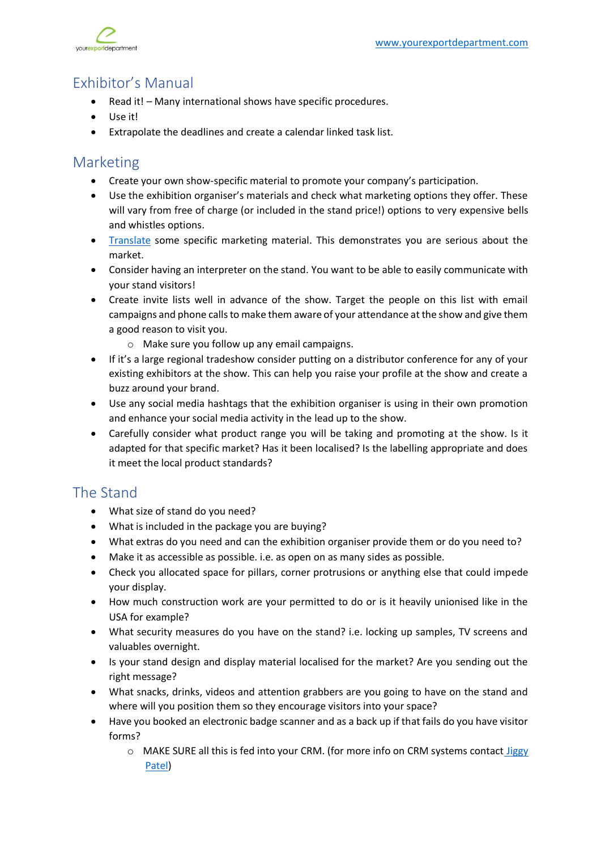

# Exhibitor's Manual

- Read it! Many international shows have specific procedures.
- Use it!
- Extrapolate the deadlines and create a calendar linked task list.

#### Marketing

- Create your own show-specific material to promote your company's participation.
- Use the exhibition organiser's materials and check what marketing options they offer. These will vary from free of charge (or included in the stand price!) options to very expensive bells and whistles options.
- [Translate](https://www.yourexportdepartment.com/services) some specific marketing material. This demonstrates you are serious about the market.
- Consider having an interpreter on the stand. You want to be able to easily communicate with your stand visitors!
- Create invite lists well in advance of the show. Target the people on this list with email campaigns and phone calls to make them aware of your attendance at the show and give them a good reason to visit you.
	- o Make sure you follow up any email campaigns.
- If it's a large regional tradeshow consider putting on a distributor conference for any of your existing exhibitors at the show. This can help you raise your profile at the show and create a buzz around your brand.
- Use any social media hashtags that the exhibition organiser is using in their own promotion and enhance your social media activity in the lead up to the show.
- Carefully consider what product range you will be taking and promoting at the show. Is it adapted for that specific market? Has it been localised? Is the labelling appropriate and does it meet the local product standards?

# The Stand

- What size of stand do you need?
- What is included in the package you are buying?
- What extras do you need and can the exhibition organiser provide them or do you need to?
- Make it as accessible as possible. i.e. as open on as many sides as possible.
- Check you allocated space for pillars, corner protrusions or anything else that could impede your display.
- How much construction work are your permitted to do or is it heavily unionised like in the USA for example?
- What security measures do you have on the stand? i.e. locking up samples, TV screens and valuables overnight.
- Is your stand design and display material localised for the market? Are you sending out the right message?
- What snacks, drinks, videos and attention grabbers are you going to have on the stand and where will you position them so they encourage visitors into your space?
- Have you booked an electronic badge scanner and as a back up if that fails do you have visitor forms?
	- $\circ$  MAKE SURE all this is fed into your CRM. (for more info on CRM systems contact  $Jiggs$ [Patel\)](https://www.linkedin.com/in/jiggyp/)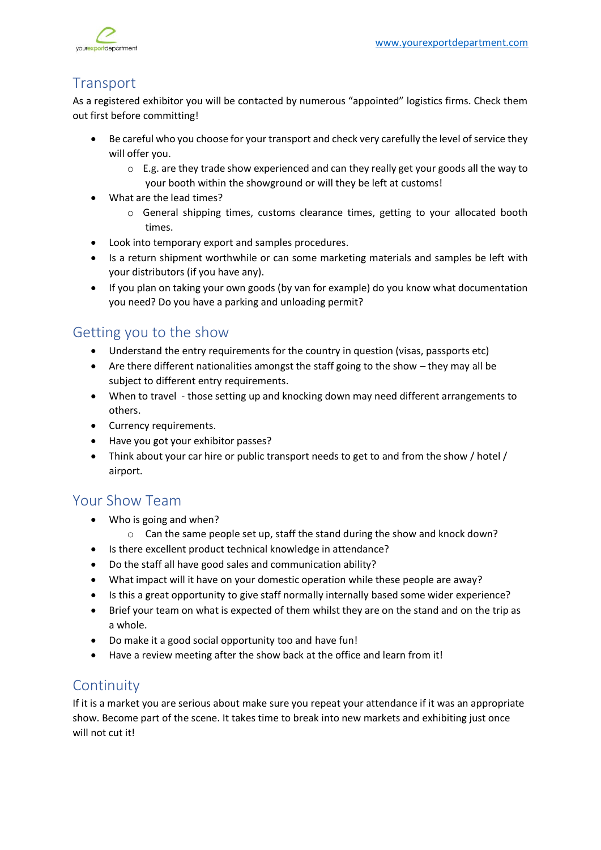

# **Transport**

As a registered exhibitor you will be contacted by numerous "appointed" logistics firms. Check them out first before committing!

- Be careful who you choose for your transport and check very carefully the level of service they will offer you.
	- $\circ$  E.g. are they trade show experienced and can they really get your goods all the way to your booth within the showground or will they be left at customs!
- What are the lead times?
	- o General shipping times, customs clearance times, getting to your allocated booth times.
- Look into temporary export and samples procedures.
- Is a return shipment worthwhile or can some marketing materials and samples be left with your distributors (if you have any).
- If you plan on taking your own goods (by van for example) do you know what documentation you need? Do you have a parking and unloading permit?

# Getting you to the show

- Understand the entry requirements for the country in question (visas, passports etc)
- Are there different nationalities amongst the staff going to the show they may all be subject to different entry requirements.
- When to travel those setting up and knocking down may need different arrangements to others.
- Currency requirements.
- Have you got your exhibitor passes?
- Think about your car hire or public transport needs to get to and from the show / hotel / airport.

# Your Show Team

- Who is going and when?
	- o Can the same people set up, staff the stand during the show and knock down?
- Is there excellent product technical knowledge in attendance?
- Do the staff all have good sales and communication ability?
- What impact will it have on your domestic operation while these people are away?
- Is this a great opportunity to give staff normally internally based some wider experience?
- Brief your team on what is expected of them whilst they are on the stand and on the trip as a whole.
- Do make it a good social opportunity too and have fun!
- Have a review meeting after the show back at the office and learn from it!

# **Continuity**

If it is a market you are serious about make sure you repeat your attendance if it was an appropriate show. Become part of the scene. It takes time to break into new markets and exhibiting just once will not cut it!